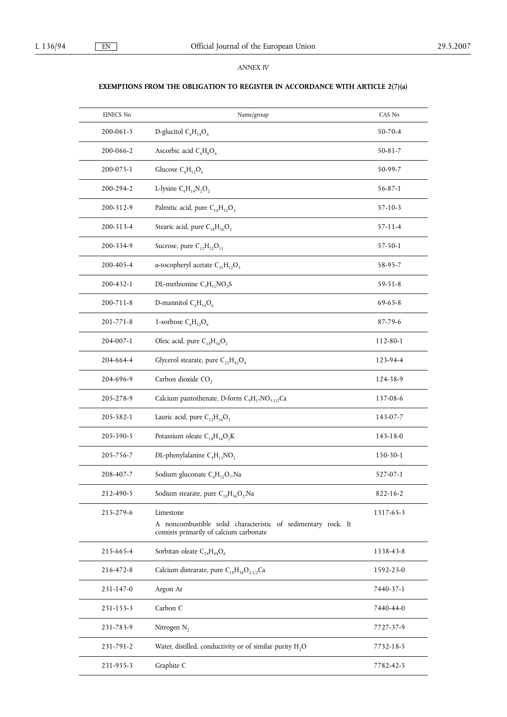## *ANNEX IV*

## **EXEMPTIONS FROM THE OBLIGATION TO REGISTER IN ACCORDANCE WITH ARTICLE 2(7)(a)**

| <b>EINECS No</b> | Name/group                                                                                                            | CAS No         |
|------------------|-----------------------------------------------------------------------------------------------------------------------|----------------|
| 200-061-5        | D-glucitol $C_6H_{14}O_6$                                                                                             | $50 - 70 - 4$  |
| 200-066-2        | Ascorbic acid $C_6H_8O_6$                                                                                             | 50-81-7        |
| 200-075-1        | Glucose $C_6H_1$ , $O_6$                                                                                              | 50-99-7        |
| 200-294-2        | L-lysine $C_6H_{14}N_2O_2$                                                                                            | $56 - 87 - 1$  |
| 200-312-9        | Palmitic acid, pure $C_{16}H_{32}O_2$                                                                                 | $57 - 10 - 3$  |
| 200-313-4        | Stearic acid, pure $C_{18}H_{36}O_2$                                                                                  | $57 - 11 - 4$  |
| 200-334-9        | Sucrose, pure $C_{12}H_{22}O_{11}$                                                                                    | $57 - 50 - 1$  |
| 200-405-4        | a-tocopheryl acetate $C_{31}H_{52}O_3$                                                                                | 58-95-7        |
| 200-432-1        | DL-methionine $C_5H_{11}NO_2S$                                                                                        | $59 - 51 - 8$  |
| $200 - 711 - 8$  | D-mannitol $C_6H_{14}O_6$                                                                                             | $69 - 65 - 8$  |
| $201 - 771 - 8$  | 1-sorbose $C_6H_1$ , $O_6$                                                                                            | $87 - 79 - 6$  |
| 204-007-1        | Oleic acid, pure $C_{18}H_{34}O_2$                                                                                    | 112-80-1       |
| 204-664-4        | Glycerol stearate, pure $C_{21}H_{42}O_4$                                                                             | 123-94-4       |
| 204-696-9        | Carbon dioxide CO <sub>2</sub>                                                                                        | 124-38-9       |
| 205-278-9        | Calcium pantothenate, D-form $C_9H_{17}NO_{5.1/2}Ca$                                                                  | 137-08-6       |
| 205-582-1        | Lauric acid, pure $C_{12}H_{24}O_2$                                                                                   | 143-07-7       |
| 205-590-5        | Potassium oleate $C_{18}H_{34}O_2K$                                                                                   | 143-18-0       |
| 205-756-7        | DL-phenylalanine $C_9H_{11}NO_2$                                                                                      | 150-30-1       |
| 208-407-7        | Sodium gluconate $C_6H_{12}O_7$ . Na                                                                                  | 527-07-1       |
| 212-490-5        | Sodium stearate, pure $C_{18}H_{36}O_2$ . Na                                                                          | $822 - 16 - 2$ |
| 215-279-6        | Limestone<br>A noncombustible solid characteristic of sedimentary rock. It<br>consists primarily of calcium carbonate | 1317-65-3      |
| 215-665-4        | Sorbitan oleate $C_{24}H_{44}O_6$                                                                                     | 1338-43-8      |
| 216-472-8        | Calcium distearate, pure $C_{18}H_{36}O_{2.1/2}Ca$                                                                    | 1592-23-0      |
| 231-147-0        | Argon Ar                                                                                                              | 7440-37-1      |
| 231-153-3        | Carbon C                                                                                                              | 7440-44-0      |
| 231-783-9        | Nitrogen $N_2$                                                                                                        | 7727-37-9      |
| 231-791-2        | Water, distilled, conductivity or of similar purity H <sub>2</sub> O                                                  | 7732-18-5      |
| 231-955-3        | Graphite C                                                                                                            | 7782-42-5      |
|                  |                                                                                                                       |                |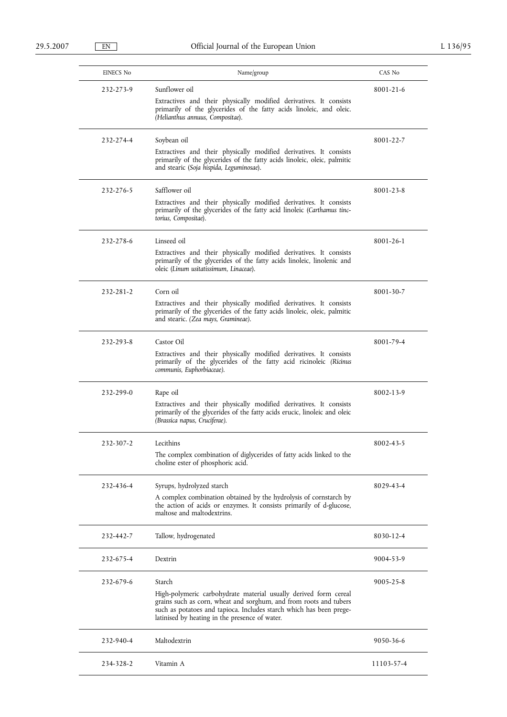| <b>EINECS No</b> | Name/group                                                                                                                                                                                                                                                               | CAS No          |
|------------------|--------------------------------------------------------------------------------------------------------------------------------------------------------------------------------------------------------------------------------------------------------------------------|-----------------|
| 232-273-9        | Sunflower oil<br>Extractives and their physically modified derivatives. It consists<br>primarily of the glycerides of the fatty acids linoleic, and oleic.<br>(Helianthus annuus, Compositae).                                                                           | 8001-21-6       |
| 232-274-4        | Soybean oil<br>Extractives and their physically modified derivatives. It consists<br>primarily of the glycerides of the fatty acids linoleic, oleic, palmitic<br>and stearic (Soja hispida, Leguminosae).                                                                | 8001-22-7       |
| 232-276-5        | Safflower oil<br>Extractives and their physically modified derivatives. It consists<br>primarily of the glycerides of the fatty acid linoleic (Carthamus tinc-<br>torius, Compositae).                                                                                   | 8001-23-8       |
| 232-278-6        | Linseed oil<br>Extractives and their physically modified derivatives. It consists<br>primarily of the glycerides of the fatty acids linoleic, linolenic and<br>oleic (Linum usitatissimum, Linaceae).                                                                    | $8001 - 26 - 1$ |
| 232-281-2        | Corn oil<br>Extractives and their physically modified derivatives. It consists<br>primarily of the glycerides of the fatty acids linoleic, oleic, palmitic<br>and stearic. (Zea mays, Gramineae).                                                                        | 8001-30-7       |
| 232-293-8        | Castor Oil<br>Extractives and their physically modified derivatives. It consists<br>primarily of the glycerides of the fatty acid ricinoleic (Ricinus<br>communis, Euphorbiaceae).                                                                                       | 8001-79-4       |
| 232-299-0        | Rape oil<br>Extractives and their physically modified derivatives. It consists<br>primarily of the glycerides of the fatty acids erucic, linoleic and oleic<br>(Brassica napus, Cruciferae).                                                                             | 8002-13-9       |
| 232-307-2        | Lecithins<br>The complex combination of diglycerides of fatty acids linked to the<br>choline ester of phosphoric acid.                                                                                                                                                   | 8002-43-5       |
| 232-436-4        | Syrups, hydrolyzed starch<br>A complex combination obtained by the hydrolysis of cornstarch by<br>the action of acids or enzymes. It consists primarily of d-glucose,<br>maltose and maltodextrins.                                                                      | 8029-43-4       |
| 232-442-7        | Tallow, hydrogenated                                                                                                                                                                                                                                                     | 8030-12-4       |
| 232-675-4        | Dextrin                                                                                                                                                                                                                                                                  | 9004-53-9       |
| 232-679-6        | Starch<br>High-polymeric carbohydrate material usually derived form cereal<br>grains such as corn, wheat and sorghum, and from roots and tubers<br>such as potatoes and tapioca. Includes starch which has been prege-<br>latinised by heating in the presence of water. | 9005-25-8       |
| 232-940-4        | Maltodextrin                                                                                                                                                                                                                                                             | 9050-36-6       |
| 234-328-2        | Vitamin A                                                                                                                                                                                                                                                                | 11103-57-4      |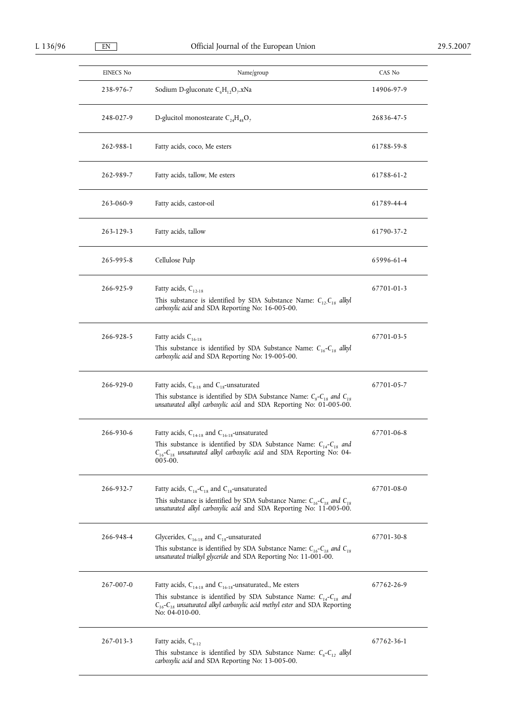| EINECS No | Name/group                                                                                                                                                                                                                                                    | CAS No     |
|-----------|---------------------------------------------------------------------------------------------------------------------------------------------------------------------------------------------------------------------------------------------------------------|------------|
| 238-976-7 | Sodium D-gluconate $C_6H_{12}O_7$ .xNa                                                                                                                                                                                                                        | 14906-97-9 |
| 248-027-9 | D-glucitol monostearate $C_{24}H_{48}O_7$                                                                                                                                                                                                                     | 26836-47-5 |
| 262-988-1 | Fatty acids, coco, Me esters                                                                                                                                                                                                                                  | 61788-59-8 |
| 262-989-7 | Fatty acids, tallow, Me esters                                                                                                                                                                                                                                | 61788-61-2 |
| 263-060-9 | Fatty acids, castor-oil                                                                                                                                                                                                                                       | 61789-44-4 |
| 263-129-3 | Fatty acids, tallow                                                                                                                                                                                                                                           | 61790-37-2 |
| 265-995-8 | Cellulose Pulp                                                                                                                                                                                                                                                | 65996-61-4 |
| 266-925-9 | Fatty acids, $C_{12-18}$<br>This substance is identified by SDA Substance Name: $C_{12}$ , $C_{18}$ alkyl<br>carboxylic acid and SDA Reporting No: 16-005-00.                                                                                                 | 67701-01-3 |
| 266-928-5 | Fatty acids $C_{16-18}$<br>This substance is identified by SDA Substance Name: $C_{16} - C_{18}$ alkyl<br>carboxylic acid and SDA Reporting No: 19-005-00.                                                                                                    | 67701-03-5 |
| 266-929-0 | Fatty acids, $C_{8-18}$ and $C_{18}$ -unsaturated<br>This substance is identified by SDA Substance Name: $C_8$ - $C_{18}$ and $C_{18}$<br>unsaturated alkyl carboxylic acid and SDA Reporting No: 01-005-00.                                                  | 67701-05-7 |
| 266-930-6 | Fatty acids, $C_{14-18}$ and $C_{16-18}$ -unsaturated<br>This substance is identified by SDA Substance Name: $C_{14}$ - $C_{18}$ and<br>$C_{16}$ - $C_{18}$ unsaturated alkyl carboxylic acid and SDA Reporting No: 04-<br>005-00.                            | 67701-06-8 |
| 266-932-7 | Fatty acids, $C_{16}$ - $C_{18}$ and $C_{18}$ -unsaturated<br>This substance is identified by SDA Substance Name: $C_{16}$ - $C_{18}$ and $C_{18}$<br>unsaturated alkyl carboxylic acid and SDA Reporting No: 11-005-00.                                      | 67701-08-0 |
| 266-948-4 | Glycerides, $C_{16-18}$ and $C_{18}$ -unsaturated<br>This substance is identified by SDA Substance Name: $C_{16}$ - $C_{18}$ and $C_{18}$<br>unsaturated trialkyl glyceride and SDA Reporting No: 11-001-00.                                                  | 67701-30-8 |
| 267-007-0 | Fatty acids, $C_{14-18}$ and $C_{16-18}$ -unsaturated., Me esters<br>This substance is identified by SDA Substance Name: $C_{14}$ - $C_{18}$ and<br>$C_{16}$ - $C_{18}$ unsaturated alkyl carboxylic acid methyl ester and SDA Reporting<br>No: $04-010-00$ . | 67762-26-9 |
| 267-013-3 | Fatty acids, $C_{6-12}$<br>This substance is identified by SDA Substance Name: $C_6 - C_{12}$ alkyl<br>carboxylic acid and SDA Reporting No: 13-005-00.                                                                                                       | 67762-36-1 |